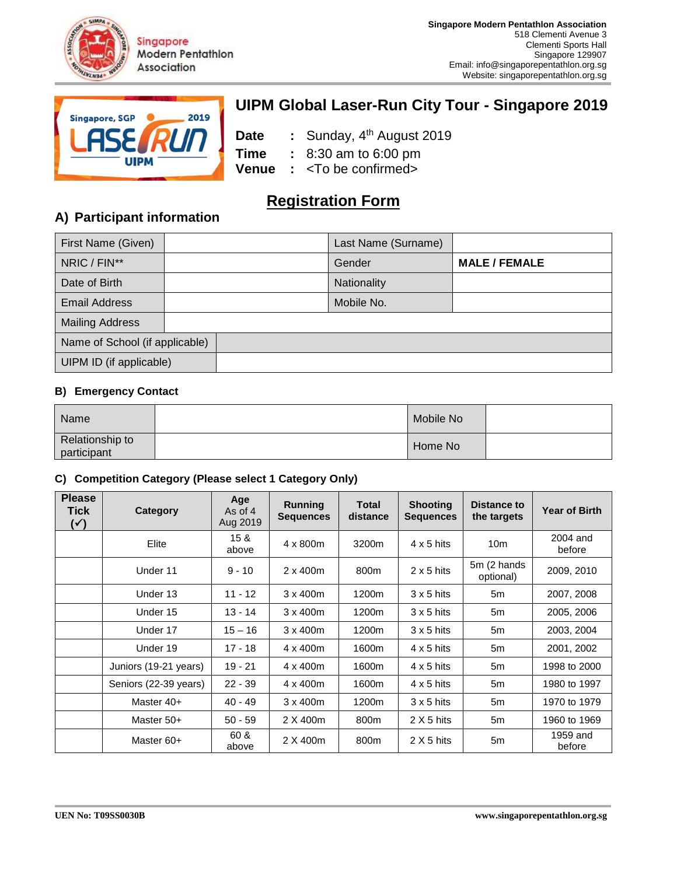



# **UIPM Global Laser-Run City Tour - Singapore 2019**

**Date** : Sunday, 4<sup>th</sup> August 2019 **Time :** 8:30 am to 6:00 pm **Venue :** <To be confirmed>

# **Registration Form**

# **A) Participant information**

| First Name (Given)             |  | Last Name (Surname) |                      |
|--------------------------------|--|---------------------|----------------------|
| NRIC / FIN**                   |  | Gender              | <b>MALE / FEMALE</b> |
| Date of Birth                  |  | Nationality         |                      |
| <b>Email Address</b>           |  | Mobile No.          |                      |
| <b>Mailing Address</b>         |  |                     |                      |
| Name of School (if applicable) |  |                     |                      |
| UIPM ID (if applicable)        |  |                     |                      |

### **B) Emergency Contact**

| Name                           | Mobile No |  |
|--------------------------------|-----------|--|
| Relationship to<br>participant | Home No   |  |

### **C) Competition Category (Please select 1 Category Only)**

| <b>Please</b><br>Tick<br>$(\checkmark)$ | <b>Category</b>       | Age<br>As of 4<br>Aug 2019 | <b>Running</b><br><b>Sequences</b> | Total<br>distance | <b>Shooting</b><br><b>Sequences</b> | <b>Distance to</b><br>the targets | <b>Year of Birth</b> |
|-----------------------------------------|-----------------------|----------------------------|------------------------------------|-------------------|-------------------------------------|-----------------------------------|----------------------|
|                                         | Elite                 | 15 <sub>8</sub><br>above   | 4 x 800m                           | 3200m             | $4 \times 5$ hits                   | 10 <sub>m</sub>                   | 2004 and<br>before   |
|                                         | Under 11              | $9 - 10$                   | $2 \times 400$ m                   | 800m              | $2 \times 5$ hits                   | 5m (2 hands<br>optional)          | 2009, 2010           |
|                                         | Under 13              | $11 - 12$                  | $3 \times 400$ m                   | 1200m             | $3 \times 5$ hits                   | 5m                                | 2007, 2008           |
|                                         | Under 15              | $13 - 14$                  | $3 \times 400$ m                   | 1200m             | $3 \times 5$ hits                   | 5m                                | 2005, 2006           |
|                                         | Under 17              | $15 - 16$                  | $3 \times 400$ m                   | 1200m             | $3 \times 5$ hits                   | 5m                                | 2003, 2004           |
|                                         | Under 19              | $17 - 18$                  | $4 \times 400$ m                   | 1600m             | $4 \times 5$ hits                   | 5m                                | 2001, 2002           |
|                                         | Juniors (19-21 years) | $19 - 21$                  | 4 x 400m                           | 1600m             | $4 \times 5$ hits                   | 5m                                | 1998 to 2000         |
|                                         | Seniors (22-39 years) | $22 - 39$                  | $4 \times 400$ m                   | 1600m             | $4 \times 5$ hits                   | 5m                                | 1980 to 1997         |
|                                         | Master 40+            | $40 - 49$                  | $3 \times 400$ m                   | 1200m             | $3 \times 5$ hits                   | 5m                                | 1970 to 1979         |
|                                         | Master 50+            | $50 - 59$                  | 2 X 400m                           | 800m              | $2 X 5$ hits                        | 5m                                | 1960 to 1969         |
|                                         | Master 60+            | 60 &<br>above              | 2 X 400m                           | 800m              | $2 X 5$ hits                        | 5m                                | 1959 and<br>before   |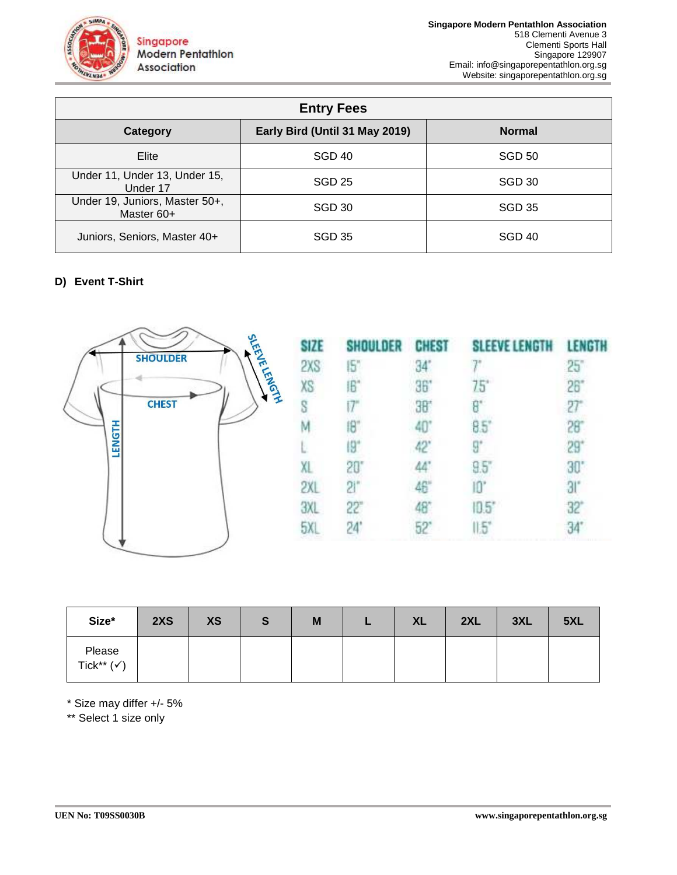

|                                              | <b>Entry Fees</b>              |               |
|----------------------------------------------|--------------------------------|---------------|
| Category                                     | Early Bird (Until 31 May 2019) | <b>Normal</b> |
| Elite                                        | SGD 40                         | <b>SGD 50</b> |
| Under 11, Under 13, Under 15,<br>Under 17    | SGD <sub>25</sub>              | SGD 30        |
| Under 19, Juniors, Master 50+,<br>Master 60+ | SGD 30                         | <b>SGD 35</b> |
| Juniors, Seniors, Master 40+                 | SGD 35                         | SGD 40        |

## **D) Event T-Shirt**



| SHOULDER CHEST |            | <b>SLEEVE LENGTH</b> | LENGTH       |
|----------------|------------|----------------------|--------------|
| 15"            | $34^\circ$ |                      | $25^\circ$   |
| IB             | 36"        | 75*                  | 26"          |
|                | 36         | 8"                   | $27^{\circ}$ |
|                | 40         | 85°                  |              |
| 19"            | 42         | 9°                   | $29^{\circ}$ |
| $20^{\circ}$   | 44         | 9.5"                 | 30.          |
| $Si$ .         | 46'        | IQ,                  | 31'          |
| 22"            |            | $10.5^\circ$         | 32           |
| 24'            |            | $1.5^{\circ}$        |              |
|                |            |                      |              |

| Size*                           | 2XS | <b>XS</b> | S | M | L. | <b>XL</b> | 2XL | 3XL | 5XL |
|---------------------------------|-----|-----------|---|---|----|-----------|-----|-----|-----|
| Please<br>Tick** $(\checkmark)$ |     |           |   |   |    |           |     |     |     |

\* Size may differ +/- 5%

\*\* Select 1 size only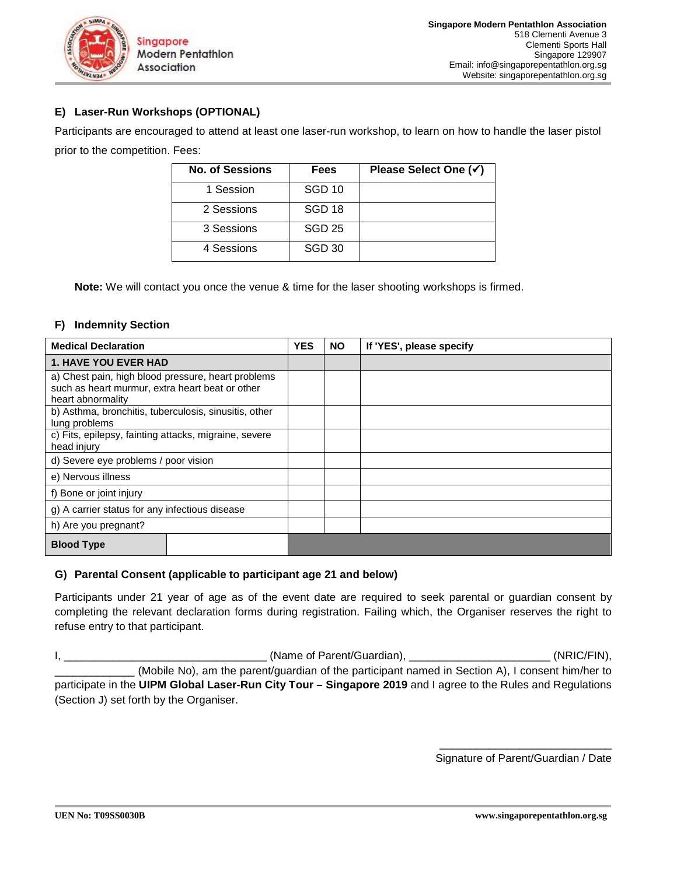

## **E) Laser-Run Workshops (OPTIONAL)**

Participants are encouraged to attend at least one laser-run workshop, to learn on how to handle the laser pistol prior to the competition. Fees:

| <b>No. of Sessions</b> | Fees              | Please Select One (√) |
|------------------------|-------------------|-----------------------|
| 1 Session              | <b>SGD 10</b>     |                       |
| 2 Sessions             | SGD <sub>18</sub> |                       |
| 3 Sessions             | <b>SGD 25</b>     |                       |
| 4 Sessions             | <b>SGD 30</b>     |                       |

**Note:** We will contact you once the venue & time for the laser shooting workshops is firmed.

#### **F) Indemnity Section**

| <b>Medical Declaration</b>                                                                                                 | <b>YES</b> | <b>NO</b> | If 'YES', please specify |
|----------------------------------------------------------------------------------------------------------------------------|------------|-----------|--------------------------|
| <b>1. HAVE YOU EVER HAD</b>                                                                                                |            |           |                          |
| a) Chest pain, high blood pressure, heart problems<br>such as heart murmur, extra heart beat or other<br>heart abnormality |            |           |                          |
| b) Asthma, bronchitis, tuberculosis, sinusitis, other<br>lung problems                                                     |            |           |                          |
| c) Fits, epilepsy, fainting attacks, migraine, severe<br>head injury                                                       |            |           |                          |
| d) Severe eye problems / poor vision                                                                                       |            |           |                          |
| e) Nervous illness                                                                                                         |            |           |                          |
| f) Bone or joint injury                                                                                                    |            |           |                          |
| g) A carrier status for any infectious disease                                                                             |            |           |                          |
| h) Are you pregnant?                                                                                                       |            |           |                          |
| <b>Blood Type</b>                                                                                                          |            |           |                          |

### **G) Parental Consent (applicable to participant age 21 and below)**

Participants under 21 year of age as of the event date are required to seek parental or guardian consent by completing the relevant declaration forms during registration. Failing which, the Organiser reserves the right to refuse entry to that participant.

I, \_\_\_\_\_\_\_\_\_\_\_\_\_\_\_\_\_\_\_\_\_\_\_\_\_\_\_\_\_\_\_\_\_ (Name of Parent/Guardian), \_\_\_\_\_\_\_\_\_\_\_\_\_\_\_\_\_\_\_\_\_\_\_ (NRIC/FIN), \_\_\_\_\_\_\_\_\_\_\_\_\_ (Mobile No), am the parent/guardian of the participant named in Section A), I consent him/her to participate in the **UIPM Global Laser-Run City Tour – Singapore 2019** and I agree to the Rules and Regulations (Section J) set forth by the Organiser.

> \_\_\_\_\_\_\_\_\_\_\_\_\_\_\_\_\_\_\_\_\_\_\_\_\_\_\_\_ Signature of Parent/Guardian / Date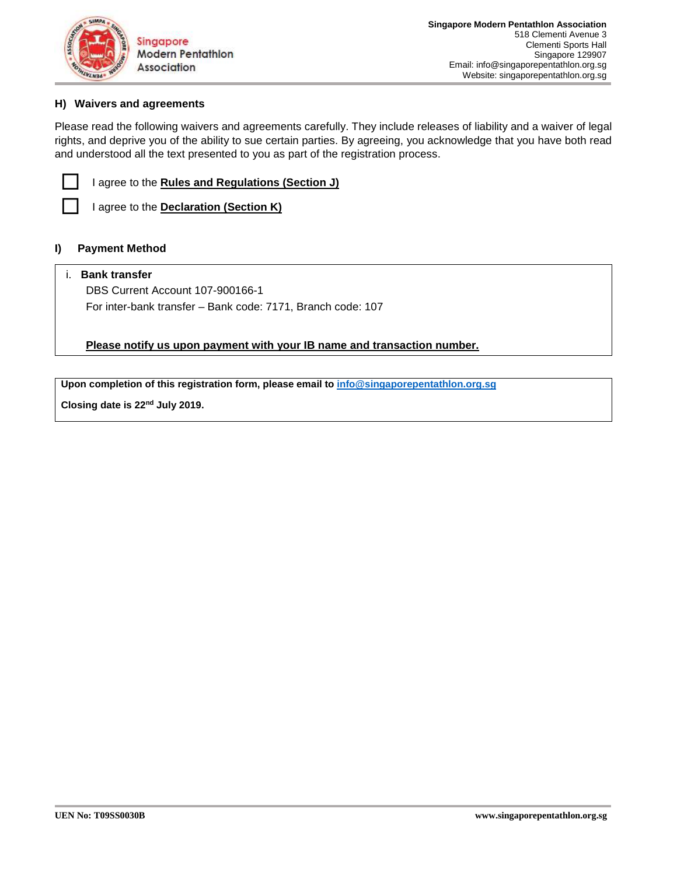

## **H) Waivers and agreements**

Please read the following waivers and agreements carefully. They include releases of liability and a waiver of legal rights, and deprive you of the ability to sue certain parties. By agreeing, you acknowledge that you have both read and understood all the text presented to you as part of the registration process.

| agre |
|------|
|      |

-

 $\Box$ 

**I agree to the Rules and Regulations (Section J)** 

I agree to the **Declaration (Section K)** 

#### **I) Payment Method**

#### i. **Bank transfer**

DBS Current Account 107-900166-1 For inter-bank transfer – Bank code: 7171, Branch code: 107

**Please notify us upon payment with your IB name and transaction number.** 

**Upon completion of this registration form, please email to info@singaporepentathlon.org.sg**

**Closing date is 22nd July 2019.**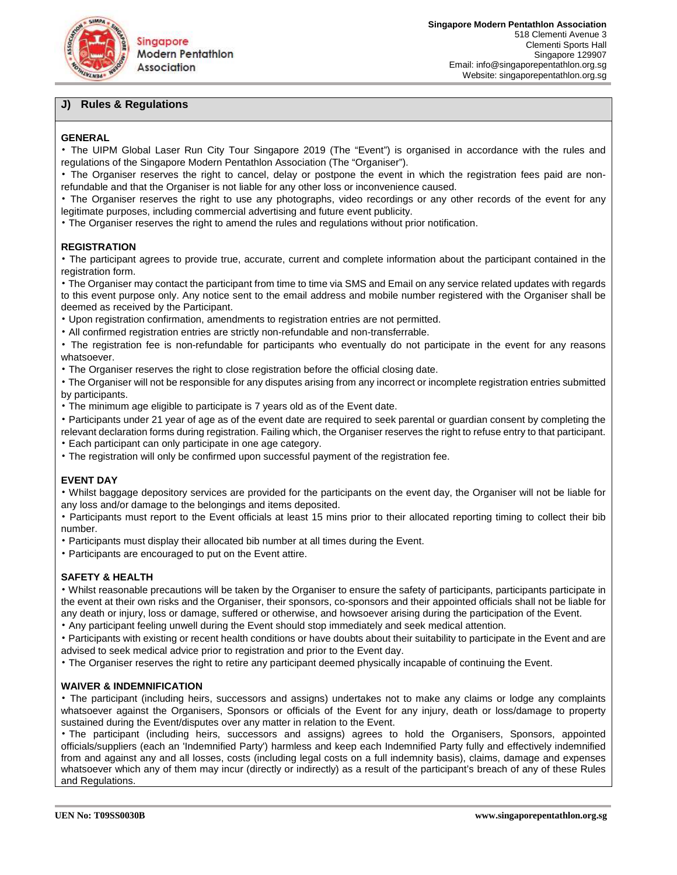

## **J) Rules & Regulations**

#### **GENERAL**

• The UIPM Global Laser Run City Tour Singapore 2019 (The "Event") is organised in accordance with the rules and regulations of the Singapore Modern Pentathlon Association (The "Organiser").

• The Organiser reserves the right to cancel, delay or postpone the event in which the registration fees paid are nonrefundable and that the Organiser is not liable for any other loss or inconvenience caused.

• The Organiser reserves the right to use any photographs, video recordings or any other records of the event for any legitimate purposes, including commercial advertising and future event publicity.

• The Organiser reserves the right to amend the rules and regulations without prior notification.

#### **REGISTRATION**

• The participant agrees to provide true, accurate, current and complete information about the participant contained in the registration form.

• The Organiser may contact the participant from time to time via SMS and Email on any service related updates with regards to this event purpose only. Any notice sent to the email address and mobile number registered with the Organiser shall be deemed as received by the Participant.

• Upon registration confirmation, amendments to registration entries are not permitted.

• All confirmed registration entries are strictly non-refundable and non-transferrable.

• The registration fee is non-refundable for participants who eventually do not participate in the event for any reasons whatsoever.

• The Organiser reserves the right to close registration before the official closing date.

• The Organiser will not be responsible for any disputes arising from any incorrect or incomplete registration entries submitted by participants.

• The minimum age eligible to participate is 7 years old as of the Event date.

• Participants under 21 year of age as of the event date are required to seek parental or guardian consent by completing the relevant declaration forms during registration. Failing which, the Organiser reserves the right to refuse entry to that participant.

• Each participant can only participate in one age category.

• The registration will only be confirmed upon successful payment of the registration fee.

#### **EVENT DAY**

• Whilst baggage depository services are provided for the participants on the event day, the Organiser will not be liable for any loss and/or damage to the belongings and items deposited.

• Participants must report to the Event officials at least 15 mins prior to their allocated reporting timing to collect their bib number.

• Participants must display their allocated bib number at all times during the Event.

• Participants are encouraged to put on the Event attire.

#### **SAFETY & HEALTH**

• Whilst reasonable precautions will be taken by the Organiser to ensure the safety of participants, participants participate in the event at their own risks and the Organiser, their sponsors, co-sponsors and their appointed officials shall not be liable for any death or injury, loss or damage, suffered or otherwise, and howsoever arising during the participation of the Event.

• Any participant feeling unwell during the Event should stop immediately and seek medical attention.

• Participants with existing or recent health conditions or have doubts about their suitability to participate in the Event and are advised to seek medical advice prior to registration and prior to the Event day.

• The Organiser reserves the right to retire any participant deemed physically incapable of continuing the Event.

#### **WAIVER & INDEMNIFICATION**

• The participant (including heirs, successors and assigns) undertakes not to make any claims or lodge any complaints whatsoever against the Organisers, Sponsors or officials of the Event for any injury, death or loss/damage to property sustained during the Event/disputes over any matter in relation to the Event.

• The participant (including heirs, successors and assigns) agrees to hold the Organisers, Sponsors, appointed officials/suppliers (each an 'Indemnified Party') harmless and keep each Indemnified Party fully and effectively indemnified from and against any and all losses, costs (including legal costs on a full indemnity basis), claims, damage and expenses whatsoever which any of them may incur (directly or indirectly) as a result of the participant's breach of any of these Rules and Regulations.